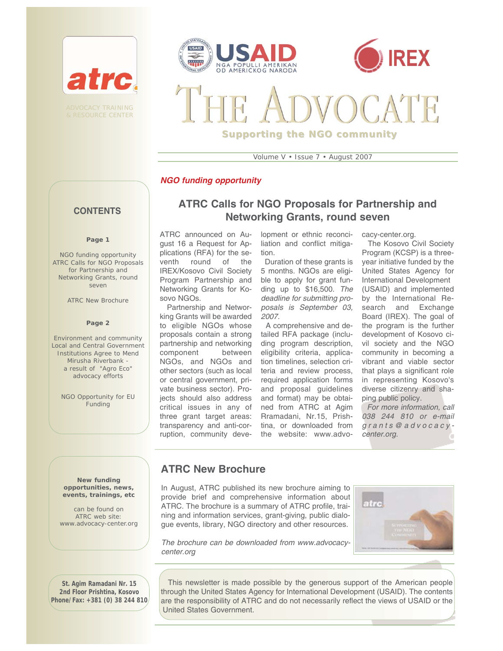





# **Supporting the NGO community**

Volume V • Issue 7 • August 2007

#### *NGO funding opportunity*

#### **CONTENTS**

#### **Page 1**

*NGO funding opportunity*  ATRC Calls for NGO Proposals for Partnership and Networking Grants, round seven

ATRC New Brochure

#### **Page 2**

*Environment and community* Local and Central Government Institutions Agree to Mend Mirusha Riverbank a result of "Agro Eco" advocacy efforts

NGO Opportunity for EU **Funding** 

# **ATRC Calls for NGO Proposals for Partnership and Networking Grants, round seven**

ATRC announced on August 16 a Request for Applications (RFA) for the seventh round of the IREX/Kosovo Civil Society Program Partnership and Networking Grants for Kosovo NGOs.

Partnership and Networking Grants will be awarded to eligible NGOs whose proposals contain a strong partnership and networking component between NGOs, and NGOs and other sectors (such as local or central government, private business sector). Projects should also address critical issues in any of three grant target areas: transparency and anti-corruption, community development or ethnic reconciliation and conflict mitigation.

Duration of these grants is 5 months. NGOs are eligible to apply for grant funding up to \$16,500. *The deadline for submitting proposals is September 03, 2007.* 

A comprehensive and detailed RFA package (including program description, eligibility criteria, application timelines, selection criteria and review process, required application forms and proposal guidelines and format) may be obtained from ATRC at Agim Rramadani, Nr.15, Prishtina, or downloaded from the website: www.advocacy-center.org.

The Kosovo Civil Society Program (KCSP) is a threeyear initiative funded by the United States Agency for International Development (USAID) and implemented by the International Research and Exchange Board (IREX). The goal of the program is the further development of Kosovo civil society and the NGO community in becoming a vibrant and viable sector that plays a significant role in representing Kosovo's diverse citizenry and shaping public policy.

*For more information, call 038 244 810 or e-mail grants@advocacycenter.org.*

## **ATRC New Brochure**

In August, ATRC published its new brochure aiming to provide brief and comprehensive information about ATRC. The brochure is a summary of ATRC profile, training and information services, grant-giving, public dialogue events, library, NGO directory and other resources.



*The brochure can be downloaded from www.advocacycenter.org*

This newsletter is made possible by the generous support of the American people through the United States Agency for International Development (USAID). The contents are the responsibility of ATRC and do not necessarily reflect the views of USAID or the United States Government.

**New funding opportunities, news, events, trainings, etc** 

can be found on ATRC web site: www.advocacy-center.org

**St. Agim Ramadani Nr. 15 2nd Floor Prishtina, Kosovo Phone/Fax: +381 (0) 38 244 810**